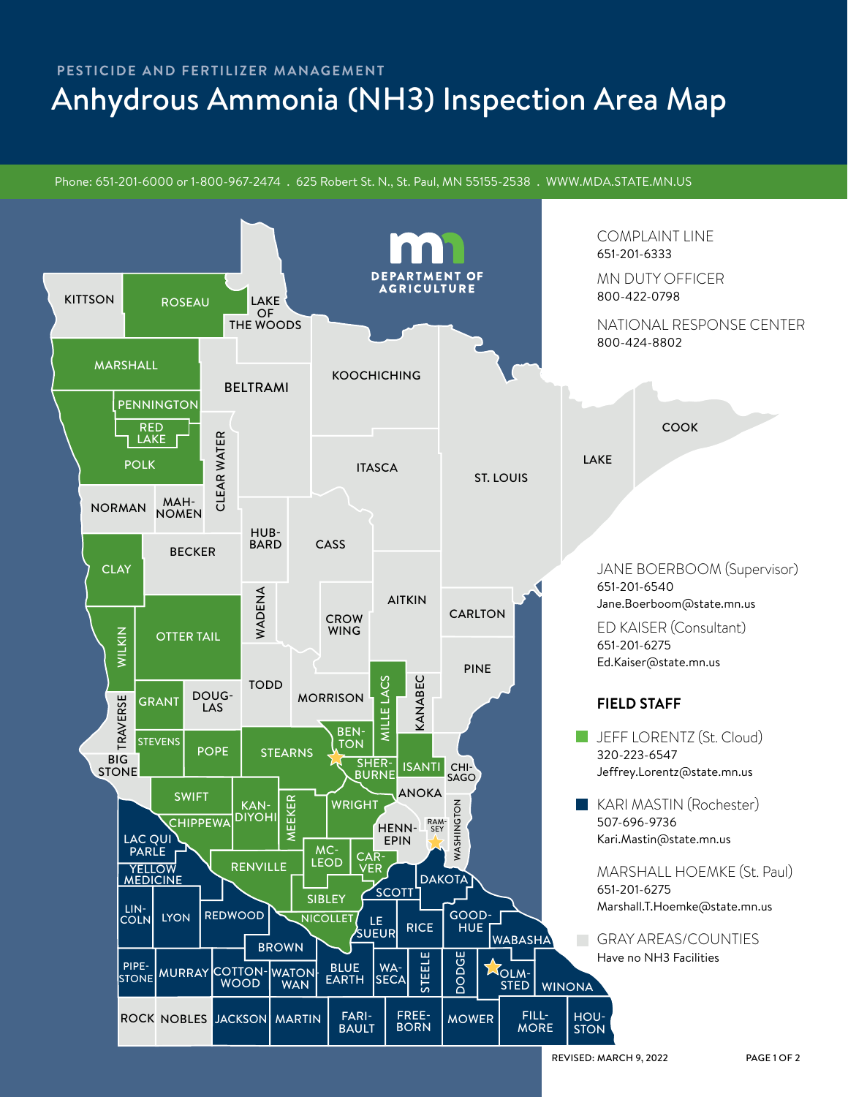## Anhydrous Ammonia (NH3) Inspection Area Map

Phone: 651-201-6000 or 1-800-967-2474 . 625 Robert St. N., St. Paul, MN 55155-2538 . WWW.MDA.STATE.MN.US